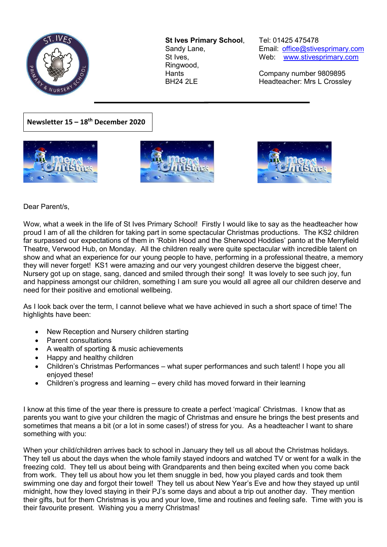

**St Ives Primary School**, Tel: 01425 475478 Ringwood,

Sandy Lane, Email: office@stivesprimary.com St Ives, [www.stivesprimary.com](http://www.stives.dorset.sch.uk/)

Hants Company number 9809895 BH24 2LE Headteacher: Mrs L Crossley

**Newsletter 15 – 18th December 2020**





 $\overline{a}$ 



Dear Parent/s,

Wow, what a week in the life of St Ives Primary School! Firstly I would like to say as the headteacher how proud I am of all the children for taking part in some spectacular Christmas productions. The KS2 children far surpassed our expectations of them in 'Robin Hood and the Sherwood Hoddies' panto at the Merryfield Theatre, Verwood Hub, on Monday. All the children really were quite spectacular with incredible talent on show and what an experience for our young people to have, performing in a professional theatre, a memory they will never forget! KS1 were amazing and our very youngest children deserve the biggest cheer, Nursery got up on stage, sang, danced and smiled through their song! It was lovely to see such joy, fun and happiness amongst our children, something I am sure you would all agree all our children deserve and need for their positive and emotional wellbeing.

As I look back over the term, I cannot believe what we have achieved in such a short space of time! The highlights have been:

- New Reception and Nursery children starting
- **Parent consultations**
- A wealth of sporting & music achievements
- Happy and healthy children
- Children's Christmas Performances what super performances and such talent! I hope you all enjoyed these!
- Children's progress and learning  $-$  every child has moved forward in their learning

I know at this time of the year there is pressure to create a perfect 'magical' Christmas. I know that as parents you want to give your children the magic of Christmas and ensure he brings the best presents and sometimes that means a bit (or a lot in some cases!) of stress for you. As a headteacher I want to share something with you:

When your child/children arrives back to school in January they tell us all about the Christmas holidays. They tell us about the days when the whole family stayed indoors and watched TV or went for a walk in the freezing cold. They tell us about being with Grandparents and then being excited when you come back from work. They tell us about how you let them snuggle in bed, how you played cards and took them swimming one day and forgot their towel! They tell us about New Year's Eve and how they stayed up until midnight, how they loved staying in their PJ's some days and about a trip out another day. They mention their gifts, but for them Christmas is you and your love, time and routines and feeling safe. Time with you is their favourite present. Wishing you a merry Christmas!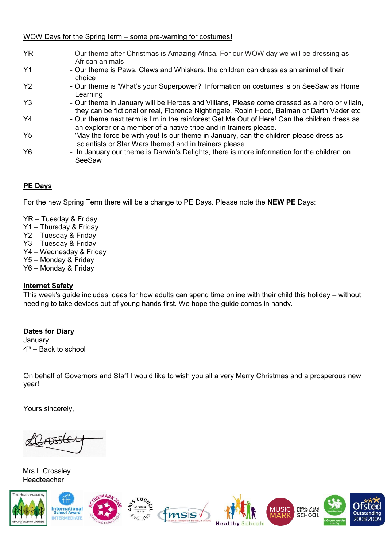#### WOW Days for the Spring term – some pre-warning for costumes!

| <b>YR</b>      | - Our theme after Christmas is Amazing Africa. For our WOW day we will be dressing as<br>African animals                                                                                    |
|----------------|---------------------------------------------------------------------------------------------------------------------------------------------------------------------------------------------|
| Y <sub>1</sub> | - Our theme is Paws, Claws and Whiskers, the children can dress as an animal of their<br>choice                                                                                             |
| Y <sub>2</sub> | - Our theme is 'What's your Superpower?' Information on costumes is on SeeSaw as Home<br>Learning                                                                                           |
| Y <sub>3</sub> | - Our theme in January will be Heroes and Villians, Please come dressed as a hero or villain,<br>they can be fictional or real, Florence Nightingale, Robin Hood, Batman or Darth Vader etc |
| Y <sub>4</sub> | - Our theme next term is I'm in the rainforest Get Me Out of Here! Can the children dress as<br>an explorer or a member of a native tribe and in trainers please.                           |
| Y5             | - 'May the force be with you! Is our theme in January, can the children please dress as<br>scientists or Star Wars themed and in trainers please                                            |
| Y <sub>6</sub> | - In January our theme is Darwin's Delights, there is more information for the children on<br>SeeSaw                                                                                        |

# **PE Days**

For the new Spring Term there will be a change to PE Days. Please note the **NEW PE** Days:

- $YR Tuesday$  & Friday
- $Y1 -$  Thursday & Friday
- Y2 Tuesday & Friday
- Y3 Tuesday & Friday
- Y4 Wednesday & Friday
- Y5 Monday & Friday
- Y6 Monday & Friday

# **Internet Safety**

This week's guide includes ideas for how adults can spend time online with their child this holiday – without needing to take devices out of young hands first. We hope the guide comes in handy.

# **Dates for Diary**

**January**  $4<sup>th</sup>$  – Back to school

On behalf of Governors and Staff I would like to wish you all a very Merry Christmas and a prosperous new year!

Yours sincerely,

Mrs L Crossley Headteacher